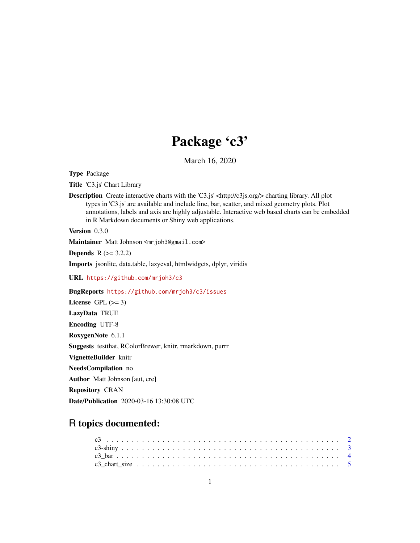# Package 'c3'

March 16, 2020

Type Package

Title 'C3.js' Chart Library

Description Create interactive charts with the 'C3.js' <http://c3js.org/> charting library. All plot types in 'C3.js' are available and include line, bar, scatter, and mixed geometry plots. Plot annotations, labels and axis are highly adjustable. Interactive web based charts can be embedded in R Markdown documents or Shiny web applications.

Version 0.3.0

Maintainer Matt Johnson <mrjoh3@gmail.com>

**Depends**  $R$  ( $>= 3.2.2$ )

Imports jsonlite, data.table, lazyeval, htmlwidgets, dplyr, viridis

URL <https://github.com/mrjoh3/c3>

BugReports <https://github.com/mrjoh3/c3/issues>

License GPL  $(>= 3)$ LazyData TRUE Encoding UTF-8 RoxygenNote 6.1.1 Suggests testthat, RColorBrewer, knitr, rmarkdown, purrr VignetteBuilder knitr NeedsCompilation no Author Matt Johnson [aut, cre] Repository CRAN Date/Publication 2020-03-16 13:30:08 UTC

# R topics documented: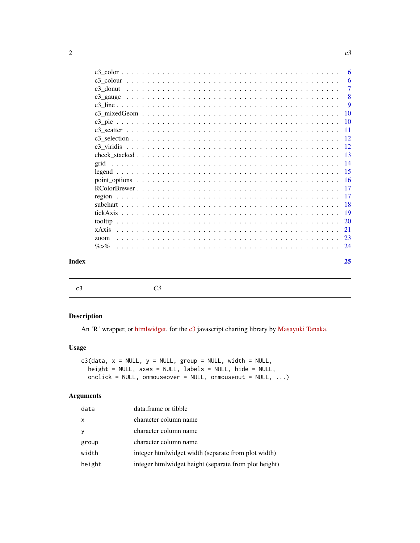| Index |           | 25                   |
|-------|-----------|----------------------|
|       | $\% > \%$ |                      |
|       | zoom      |                      |
|       |           |                      |
|       |           |                      |
|       |           |                      |
|       |           |                      |
|       |           |                      |
|       |           |                      |
|       |           |                      |
|       |           |                      |
|       |           |                      |
|       |           |                      |
|       |           |                      |
|       |           |                      |
|       |           |                      |
|       |           |                      |
|       |           |                      |
|       |           | 9                    |
|       |           | -8                   |
|       |           | -6<br>$\overline{7}$ |
|       |           | -6                   |
|       |           |                      |

<span id="page-1-1"></span>

| c3 | C <sub>3</sub> |
|----|----------------|
|----|----------------|

An 'R' wrapper, or [htmlwidget,](http://www.htmlwidgets.org/) for the [c3](http://c3js.org/) javascript charting library by [Masayuki Tanaka.](https://github.com/masayuki0812)

#### Usage

```
c3(data, x = NULL, y = NULL, group = NULL, width = NULL,
 height = NULL, axes = NULL, labels = NULL, hide = NULL,
 onclick = NULL, onmouseover = NULL, onmouseout = NULL, ...)
```
# Arguments

| data   | data.frame or tibble                                  |
|--------|-------------------------------------------------------|
| x      | character column name                                 |
| y      | character column name                                 |
| group  | character column name                                 |
| width  | integer htmlwidget width (separate from plot width)   |
| height | integer htmlwidget height (separate from plot height) |

<span id="page-1-0"></span>2 c3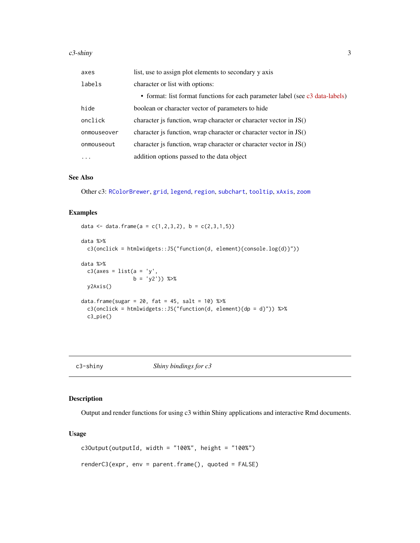<span id="page-2-0"></span>

| axes        | list, use to assign plot elements to secondary y axis                         |
|-------------|-------------------------------------------------------------------------------|
| labels      | character or list with options:                                               |
|             | • format: list format functions for each parameter label (see c3 data-labels) |
| hide        | boolean or character vector of parameters to hide                             |
| onclick     | character is function, wrap character or character vector in $JS()$           |
| onmouseover | character is function, wrap character or character vector in JS()             |
| onmouseout  | character is function, wrap character or character vector in JS()             |
| $\ddots$ .  | addition options passed to the data object                                    |

#### See Also

Other c3: [RColorBrewer](#page-16-1), [grid](#page-13-1), [legend](#page-14-1), [region](#page-16-2), [subchart](#page-17-1), [tooltip](#page-19-1), [xAxis](#page-20-1), [zoom](#page-22-1)

#### Examples

```
data <- data.frame(a = c(1,2,3,2), b = c(2,3,1,5))
data %>%
  c3(onclick = htmlwidgets::JS("function(d, element){console.log(d)}"))
data %>%
  c3(axes = list(a = 'y',b = 'y2')) %>%
  y2Axis()
data.frame(sugar = 20, fat = 45, salt = 10) \frac{28}{5}c3(onclick = htmlwidgets::JS("function(d, element){dp = d}")) %>%
  c3_pie()
```
c3-shiny *Shiny bindings for c3*

#### Description

Output and render functions for using c3 within Shiny applications and interactive Rmd documents.

#### Usage

```
c3Output(outputId, width = "100%", height = "100%")
renderC3(expr, env = parent.frame(), quoted = FALSE)
```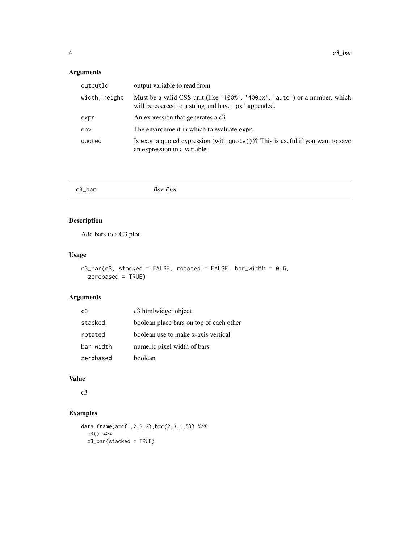#### <span id="page-3-0"></span>Arguments

| output variable to read from                                                                                                      |
|-----------------------------------------------------------------------------------------------------------------------------------|
| Must be a valid CSS unit (like '100%', '400px', 'auto') or a number, which<br>will be coerced to a string and have 'px' appended. |
| An expression that generates a c3                                                                                                 |
| The environment in which to evaluate expr.                                                                                        |
| Is expr a quoted expression (with $\text{quote}()$ )? This is useful if you want to save<br>an expression in a variable.          |
|                                                                                                                                   |

| c3_bar | <b>Bar Plot</b> |  |
|--------|-----------------|--|
|        |                 |  |

# Description

Add bars to a C3 plot

#### Usage

```
c3_bar(c3, stacked = FALSE, rotated = FALSE, bar_width = 0.6,zerobased = TRUE)
```
#### Arguments

| c <sub>3</sub> | c3 htmlwidget object                    |
|----------------|-----------------------------------------|
| stacked        | boolean place bars on top of each other |
| rotated        | boolean use to make x-axis vertical     |
| bar_width      | numeric pixel width of bars             |
| zerobased      | boolean                                 |

# Value

c3

```
data.frame(a=c(1,2,3,2),b=c(2,3,1,5)) %>%
 c3() %>%
 c3_bar(stacked = TRUE)
```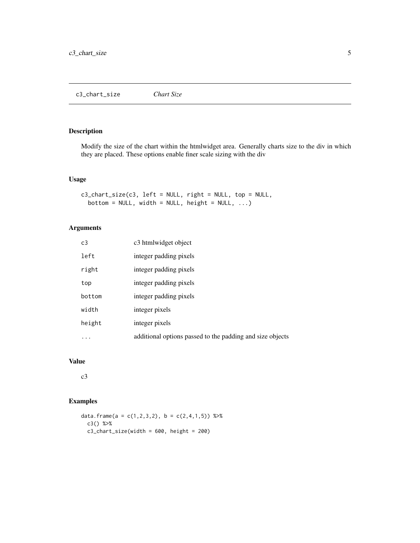<span id="page-4-0"></span>Modify the size of the chart within the htmlwidget area. Generally charts size to the div in which they are placed. These options enable finer scale sizing with the div

#### Usage

```
c3_chart_size(c3, left = NULL, right = NULL, top = NULL,
 bottom = NULL, width = NULL, height = NULL, ...)
```
#### Arguments

| C <sub>3</sub> | c3 htmlwidget object                                      |
|----------------|-----------------------------------------------------------|
| left           | integer padding pixels                                    |
| right          | integer padding pixels                                    |
| top            | integer padding pixels                                    |
| bottom         | integer padding pixels                                    |
| width          | integer pixels                                            |
| height         | integer pixels                                            |
| .              | additional options passed to the padding and size objects |

#### Value

c3

```
data.frame(a = c(1,2,3,2), b = c(2,4,1,5)) %>%
  c3() %>%
  c3_chart_size(width = 600, height = 200)
```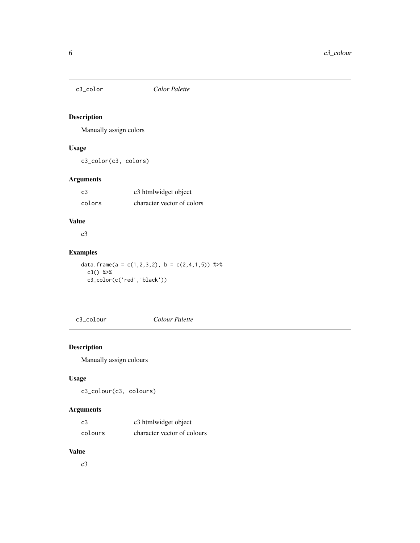<span id="page-5-0"></span>

Manually assign colors

#### Usage

c3\_color(c3, colors)

#### Arguments

| c3     | c3 htmlwidget object       |
|--------|----------------------------|
| colors | character vector of colors |

# Value

c3

#### Examples

data.frame(a =  $c(1,2,3,2)$ , b =  $c(2,4,1,5)$ ) %>% c3() %>% c3\_color(c('red','black'))

c3\_colour *Colour Palette*

# Description

Manually assign colours

#### Usage

c3\_colour(c3, colours)

#### Arguments

| c3      | c3 htmlwidget object        |
|---------|-----------------------------|
| colours | character vector of colours |

#### Value

c3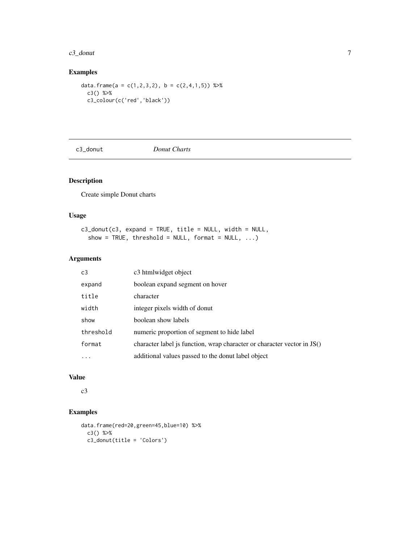#### <span id="page-6-0"></span> $c3$ \_donut 7

# Examples

```
data.frame(a = c(1,2,3,2), b = c(2,4,1,5)) %>%
  c3() %>%
  c3_colour(c('red','black'))
```
c3\_donut *Donut Charts*

# Description

Create simple Donut charts

#### Usage

c3\_donut(c3, expand = TRUE, title = NULL, width = NULL, show = TRUE, threshold = NULL, format = NULL,  $\ldots$ )

#### Arguments

| c3        | c <sub>3</sub> htmlwidget object                                        |
|-----------|-------------------------------------------------------------------------|
| expand    | boolean expand segment on hover                                         |
| title     | character                                                               |
| width     | integer pixels width of donut                                           |
| show      | boolean show labels                                                     |
| threshold | numeric proportion of segment to hide label                             |
| format    | character label is function, wrap character or character vector in JS() |
| $\cdots$  | additional values passed to the donut label object                      |

# Value

c3

```
data.frame(red=20,green=45,blue=10) %>%
 c3() %>%
 c3_donut(title = 'Colors')
```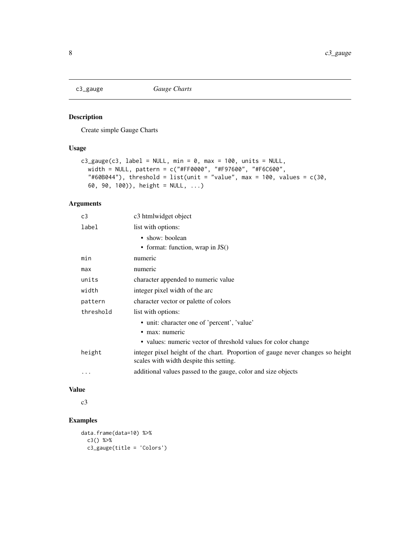<span id="page-7-0"></span>

Create simple Gauge Charts

#### Usage

```
c3_gauge(c3, label = NULL, min = 0, max = 100, units = NULL,
  width = NULL, pattern = c("#FF0000", "#F97600", "#F6C600",
  "#60B044"), threshold = list(unit = "value", max = 100, values = c(30,60, 90, 100)), height = NULL, ...)
```
# Arguments

| c3 htmlwidget object                                                                                                      |
|---------------------------------------------------------------------------------------------------------------------------|
| list with options:                                                                                                        |
| • show: boolean                                                                                                           |
| • format: function, wrap in $JS()$                                                                                        |
| numeric                                                                                                                   |
| numeric                                                                                                                   |
| character appended to numeric value                                                                                       |
| integer pixel width of the arc                                                                                            |
| character vector or palette of colors                                                                                     |
| list with options:                                                                                                        |
| • unit: character one of 'percent', 'value'                                                                               |
| • max: numeric                                                                                                            |
| • values: numeric vector of threshold values for color change                                                             |
| integer pixel height of the chart. Proportion of gauge never changes so height<br>scales with width despite this setting. |
| additional values passed to the gauge, color and size objects                                                             |
|                                                                                                                           |

#### Value

c3

```
data.frame(data=10) %>%
 c3() %>%
 c3_gauge(title = 'Colors')
```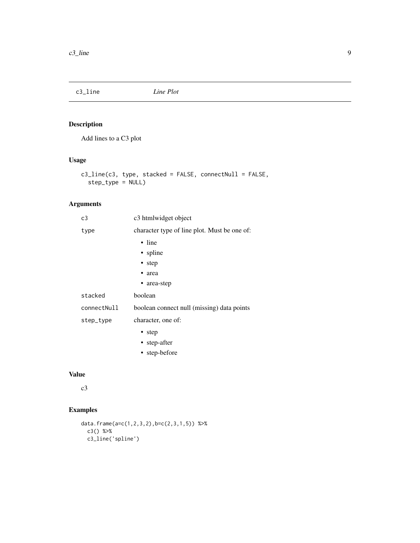<span id="page-8-0"></span>

Add lines to a C3 plot

#### Usage

c3\_line(c3, type, stacked = FALSE, connectNull = FALSE, step\_type = NULL)

# Arguments

| c3          | c3 htmlwidget object                         |
|-------------|----------------------------------------------|
| type        | character type of line plot. Must be one of: |
|             | $\cdot$ line                                 |
|             | • spline                                     |
|             | • step                                       |
|             | • area                                       |
|             | • area-step                                  |
| stacked     | boolean                                      |
| connectNull | boolean connect null (missing) data points   |
| step_type   | character, one of:                           |
|             | • step                                       |
|             | • step-after                                 |
|             | • step-before                                |
|             |                                              |

#### Value

c3

```
data.frame(a=c(1,2,3,2),b=c(2,3,1,5)) %>%
 c3() %>%
 c3_line('spline')
```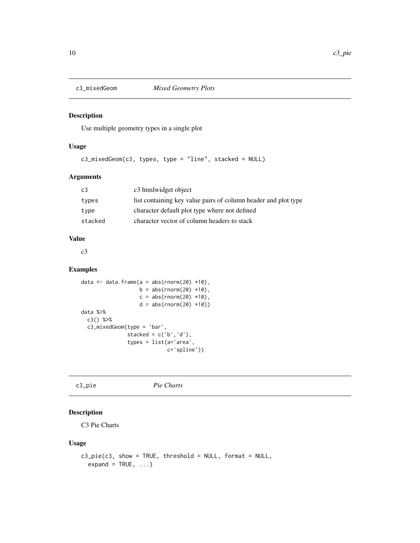<span id="page-9-0"></span>

Use multiple geometry types in a single plot

#### Usage

c3\_mixedGeom(c3, types, type = "line", stacked = NULL)

#### Arguments

| C <sub>3</sub> | c3 htmlwidget object                                           |
|----------------|----------------------------------------------------------------|
| types          | list containing key value pairs of column header and plot type |
| type           | character default plot type where not defined                  |
| stacked        | character vector of column headers to stack                    |

#### Value

c3

#### Examples

```
data \leq data.frame(a = abs(rnorm(20) \star10),
                   b = abs(rnorm(20) *10),
                   c = abs(rnorm(20) *10),
                   d = abs(rnorm(20) *10)data %>%
 c3() %>%
 c3_mixedGeom(type = 'bar',
               stacked = c('b', 'd'),types = list(a='area',
                            c='spline'))
```
c3\_pie *Pie Charts*

#### Description

C3 Pie Charts

#### Usage

```
c3_pie(c3, show = TRUE, threshold = NULL, format = NULL,expand = TRUE, ...)
```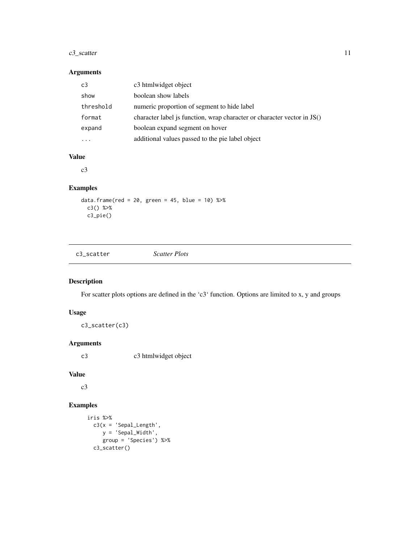#### <span id="page-10-0"></span>c3\_scatter 11

#### Arguments

| c3        | c3 htmlwidget object                                                    |
|-----------|-------------------------------------------------------------------------|
| show      | boolean show labels                                                     |
| threshold | numeric proportion of segment to hide label                             |
| format    | character label is function, wrap character or character vector in JS() |
| expand    | boolean expand segment on hover                                         |
|           | additional values passed to the pie label object                        |

# Value

c3

#### Examples

```
data.frame(red = 20, green = 45, blue = 10) %>%
  c3() %>%
 c3_pie()
```
c3\_scatter *Scatter Plots*

#### Description

For scatter plots options are defined in the 'c3' function. Options are limited to x, y and groups

#### Usage

c3\_scatter(c3)

# Arguments

c3 c3 htmlwidget object

#### Value

c3

```
iris %>%
 c3(x = 'Sepal\_Length',y = 'Sepal_Width',
    group = 'Species') %>%
 c3_scatter()
```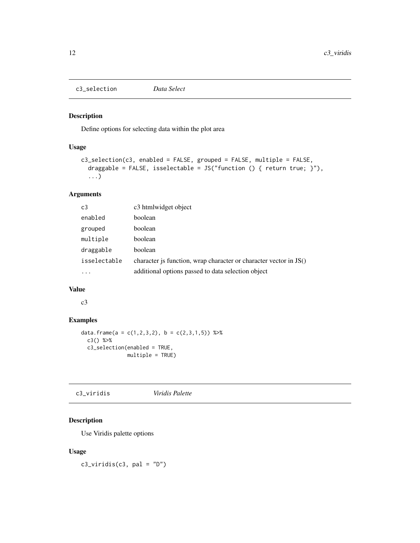<span id="page-11-0"></span>c3\_selection *Data Select*

#### Description

Define options for selecting data within the plot area

#### Usage

```
c3_selection(c3, enabled = FALSE, grouped = FALSE, multiple = FALSE,
  draggable = FALSE, isselectable = JS("function () { return true; }"),
  ...)
```
#### Arguments

| c <sub>3</sub> | c <sub>3</sub> htmlwidget object                                    |
|----------------|---------------------------------------------------------------------|
| enabled        | boolean                                                             |
| grouped        | boolean                                                             |
| multiple       | boolean                                                             |
| draggable      | boolean                                                             |
| isselectable   | character is function, wrap character or character vector in $JS()$ |
|                | additional options passed to data selection object                  |

#### Value

c3

#### Examples

```
data.frame(a = c(1,2,3,2), b = c(2,3,1,5)) %>%
  c3() %>%
  c3_selection(enabled = TRUE,
               multiple = TRUE)
```
c3\_viridis *Viridis Palette*

#### Description

Use Viridis palette options

#### Usage

 $c3_viridis(c3, pal = "D")$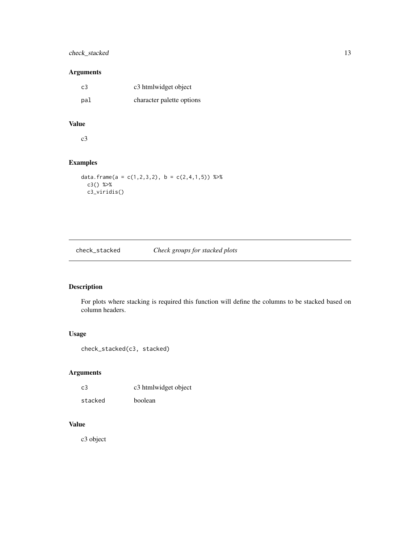# <span id="page-12-0"></span>check\_stacked 13

## Arguments

| c3  | c3 htmlwidget object      |
|-----|---------------------------|
| pal | character palette options |

#### Value

c3

#### Examples

```
data.frame(a = c(1,2,3,2), b = c(2,4,1,5)) %>%
  c3() %>%
  c3_viridis()
```
# check\_stacked *Check groups for stacked plots*

# Description

For plots where stacking is required this function will define the columns to be stacked based on column headers.

## Usage

```
check_stacked(c3, stacked)
```
#### Arguments

| c3      | c3 htmlwidget object |
|---------|----------------------|
| stacked | boolean              |

# Value

c3 object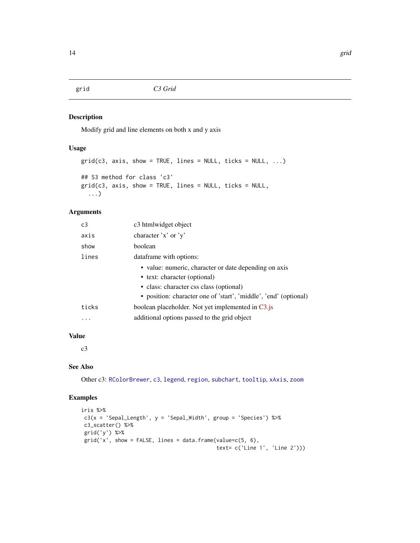<span id="page-13-1"></span><span id="page-13-0"></span>

Modify grid and line elements on both x and y axis

#### Usage

```
grid(c3, axis, show = TRUE, lines = NULL, ticks = NULL, ...)## S3 method for class 'c3'
grid(c3, axis, show = TRUE, lines = NULL, ticks = NULL,...)
```
#### Arguments

| C <sub>3</sub> | c3 htmlwidget object                                             |
|----------------|------------------------------------------------------------------|
| axis           | character $'x'$ or $'y'$                                         |
| show           | boolean                                                          |
| lines          | dataframe with options:                                          |
|                | • value: numeric, character or date depending on axis            |
|                | • text: character (optional)                                     |
|                | • class: character css class (optional)                          |
|                | • position: character one of 'start', 'middle', 'end' (optional) |
| ticks          | boolean placeholder. Not yet implemented in C3.js                |
|                | additional options passed to the grid object                     |
|                |                                                                  |

# Value

c3

# See Also

Other c3: [RColorBrewer](#page-16-1), [c3](#page-1-1), [legend](#page-14-1), [region](#page-16-2), [subchart](#page-17-1), [tooltip](#page-19-1), [xAxis](#page-20-1), [zoom](#page-22-1)

```
iris %>%
c3(x = 'Sepal_length', y = 'SepalWidth', group = 'Species') %c3_scatter() %>%
grid('y') %>%
grid('x', show = FALSE, lines = data.frame(value=c(5, 6),
                                          text= c('Line 1', 'Line 2')))
```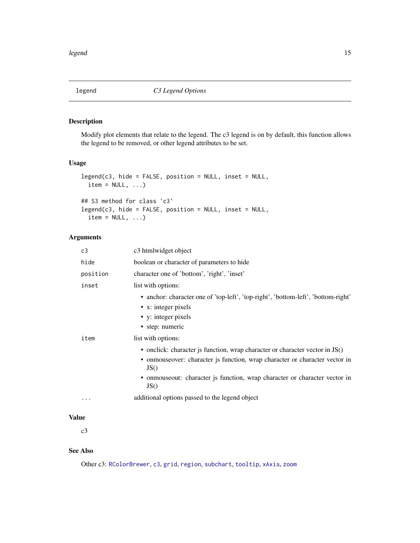<span id="page-14-1"></span><span id="page-14-0"></span>

Modify plot elements that relate to the legend. The c3 legend is on by default, this function allows the legend to be removed, or other legend attributes to be set.

#### Usage

```
legend(c3, hide = FALSE, position = NULL, inset = NULL,
 item = NULL, ...)## S3 method for class 'c3'
legend(c3, hide = FALSE, position = NULL, inset = NULL,
 item = NULL, ...)
```
#### Arguments

| c3       | c3 htmlwidget object                                                                                                                               |
|----------|----------------------------------------------------------------------------------------------------------------------------------------------------|
| hide     | boolean or character of parameters to hide                                                                                                         |
| position | character one of 'bottom', 'right', 'inset'                                                                                                        |
| inset    | list with options:                                                                                                                                 |
|          | • anchor: character one of 'top-left', 'top-right', 'bottom-left', 'bottom-right'<br>• x: integer pixels<br>• y: integer pixels<br>• step: numeric |
| item     | list with options:                                                                                                                                 |
|          | • onclick: character js function, wrap character or character vector in JS()                                                                       |
|          | • onmouseover: character js function, wrap character or character vector in<br>JS()                                                                |
|          | · onmouseout: character js function, wrap character or character vector in<br>JS()                                                                 |
| .        | additional options passed to the legend object                                                                                                     |

#### Value

c3

#### See Also

Other c3: [RColorBrewer](#page-16-1), [c3](#page-1-1), [grid](#page-13-1), [region](#page-16-2), [subchart](#page-17-1), [tooltip](#page-19-1), [xAxis](#page-20-1), [zoom](#page-22-1)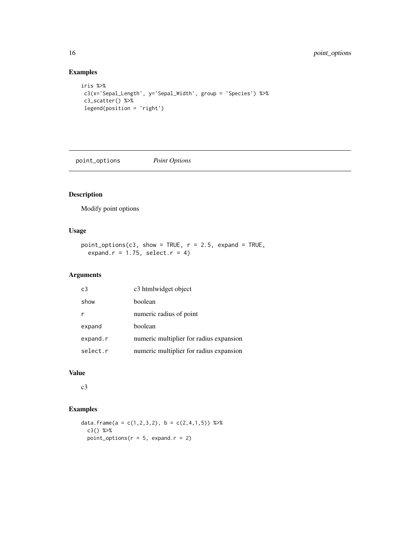# Examples

```
iris %>%
c3(x='Sepal_Length', y='Sepal_Width', group = 'Species') %>%
 c3_scatter() %>%
legend(position = 'right')
```
point\_options *Point Options*

#### Description

Modify point options

# Usage

```
point_options(c3, show = TRUE, r = 2.5, expand = TRUE,
 expand.r = 1.75, select.r = 4)
```
#### Arguments

| c <sub>3</sub> | c3 htmlwidget object                    |
|----------------|-----------------------------------------|
| show           | boolean                                 |
|                | numeric radius of point                 |
| expand         | boolean                                 |
| expand.r       | numeric multiplier for radius expansion |
| select.r       | numeric multiplier for radius expansion |

#### Value

c3

```
data.frame(a = c(1, 2, 3, 2), b = c(2, 4, 1, 5)) %>%
  c3() %>%
  point_options(r = 5, expand.r = 2)
```
<span id="page-15-0"></span>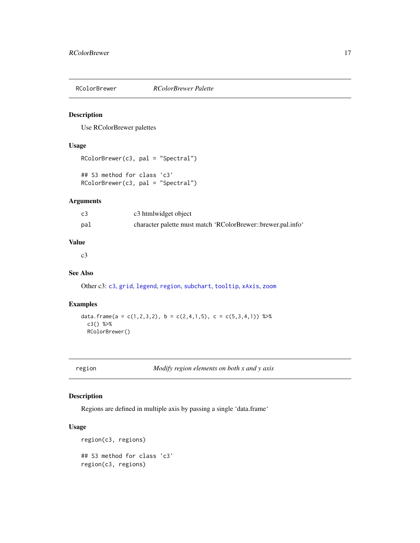<span id="page-16-1"></span><span id="page-16-0"></span>

Use RColorBrewer palettes

#### Usage

```
RColorBrewer(c3, pal = "Spectral")
## S3 method for class 'c3'
RColorBrewer(c3, pal = "Spectral")
```
#### Arguments

| c3  | c3 htmlwidget object                                         |
|-----|--------------------------------------------------------------|
| pal | character palette must match 'RColorBrewer::brewer.pal.info' |

#### Value

c3

#### See Also

Other c3: [c3](#page-1-1), [grid](#page-13-1), [legend](#page-14-1), [region](#page-16-2), [subchart](#page-17-1), [tooltip](#page-19-1), [xAxis](#page-20-1), [zoom](#page-22-1)

#### Examples

```
data.frame(a = c(1,2,3,2), b = c(2,4,1,5), c = c(5,3,4,1)) %>%
  c3() %>%
  RColorBrewer()
```
<span id="page-16-2"></span>region *Modify region elements on both x and y axis*

# Description

Regions are defined in multiple axis by passing a single 'data.frame'

### Usage

```
region(c3, regions)
## S3 method for class 'c3'
region(c3, regions)
```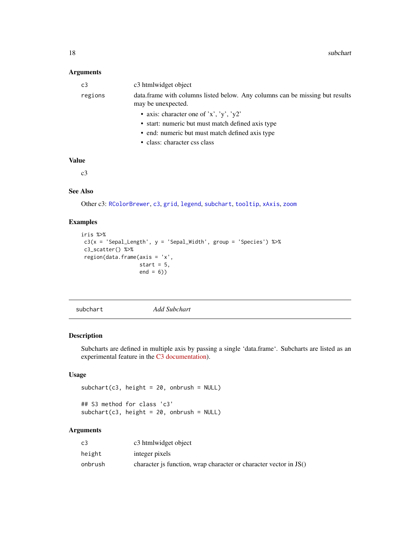#### <span id="page-17-0"></span>Arguments

| c3      | c3 htmlwidget object                                                                                |
|---------|-----------------------------------------------------------------------------------------------------|
| regions | data. frame with columns listed below. Any columns can be missing but results<br>may be unexpected. |
|         | • axis: character one of 'x', 'y', 'y2'                                                             |
|         | • start: numeric but must match defined axis type                                                   |
|         | • end: numeric but must match defined axis type                                                     |
|         | • class: character css class                                                                        |

#### Value

c3

#### See Also

Other c3: [RColorBrewer](#page-16-1), [c3](#page-1-1), [grid](#page-13-1), [legend](#page-14-1), [subchart](#page-17-1), [tooltip](#page-19-1), [xAxis](#page-20-1), [zoom](#page-22-1)

#### Examples

```
iris %>%
c3(x = 'Sepal\_Length', y = 'Sepal\_Width', group = 'Species') %>%
c3_scatter() %>%
region(data.frame(axis = 'x',
                  start = 5,
                  end = 6)
```
<span id="page-17-1"></span>subchart *Add Subchart*

#### Description

Subcharts are defined in multiple axis by passing a single 'data.frame'. Subcharts are listed as an experimental feature in the [C3 documentation\)](http://c3js.org/reference.html#subchart-onbrush).

#### Usage

```
subchart(c3, height = 20, on brush = NULL)## S3 method for class 'c3'
subchart(c3, height = 20, onbrush = NULL)
```
#### Arguments

| C <sub>3</sub> | c3 htmlwidget object                                              |
|----------------|-------------------------------------------------------------------|
| height         | integer pixels                                                    |
| onbrush        | character is function, wrap character or character vector in JS() |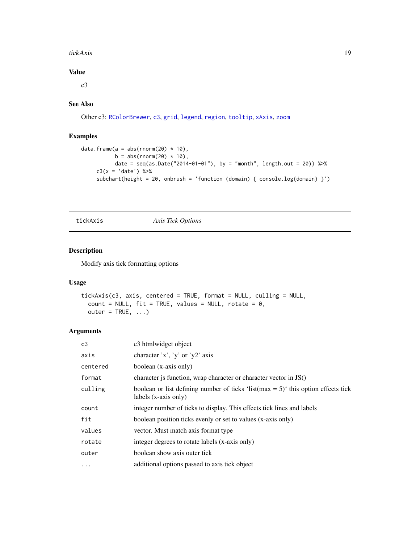#### <span id="page-18-0"></span>tickAxis 19

## Value

 $c<sub>3</sub>$ 

# See Also

Other c3: [RColorBrewer](#page-16-1), [c3](#page-1-1), [grid](#page-13-1), [legend](#page-14-1), [region](#page-16-2), [tooltip](#page-19-1), [xAxis](#page-20-1), [zoom](#page-22-1)

#### Examples

```
data.frame(a = abs(rnorm(20) * 10),
          b = abs(rnorm(20) * 10),
          date = seq(as.Date("2014-01-01"), by = "month", length.out = 20)) %>%
    c3(x = 'date') %subchart(height = 20, onbrush = 'function (domain) { console.log(domain) }')
```
tickAxis *Axis Tick Options*

#### Description

Modify axis tick formatting options

#### Usage

```
tickAxis(c3, axis, centered = TRUE, format = NULL, culling = NULL,
  count = NULL, fit = TRUE, values = NULL, rotate = 0,
 outer = TRUE, ...)
```
#### Arguments

| C <sub>3</sub> | c3 htmlwidget object                                                                                          |
|----------------|---------------------------------------------------------------------------------------------------------------|
| axis           | character 'x', 'y' or 'y2' axis                                                                               |
| centered       | boolean (x-axis only)                                                                                         |
| format         | character js function, wrap character or character vector in JS()                                             |
| culling        | boolean or list defining number of ticks 'list( $max = 5$ )' this option effects tick<br>labels (x-axis only) |
| count          | integer number of ticks to display. This effects tick lines and labels                                        |
| fit            | boolean position ticks evenly or set to values (x-axis only)                                                  |
| values         | vector. Must match axis format type                                                                           |
| rotate         | integer degrees to rotate labels (x-axis only)                                                                |
| outer          | boolean show axis outer tick                                                                                  |
| $\ddotsc$      | additional options passed to axis tick object                                                                 |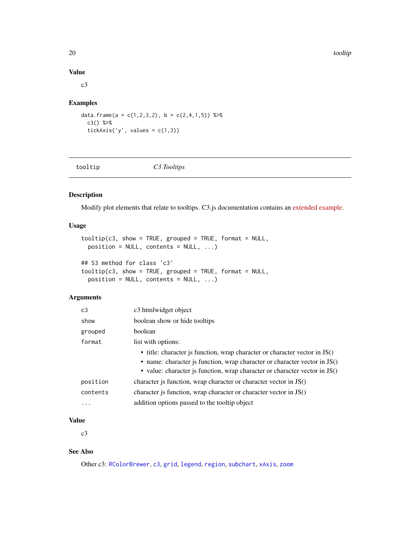20 tooltip the control of the control of the control of the control of the control of the control of the control of the control of the control of the control of the control of the control of the control of the control of t

#### Value

c3

#### Examples

data.frame( $a = c(1, 2, 3, 2)$ ,  $b = c(2, 4, 1, 5)$ ) %>% c3() %>% tickAxis('y', values =  $c(1,3)$ )

<span id="page-19-1"></span>tooltip *C3 Tooltips*

#### Description

Modify plot elements that relate to tooltips. C3.js documentation contains an [extended example.](http://c3js.org/samples/tooltip_format.html)

#### Usage

```
toOltip(c3, show = TRUE, grouped = TRUE, format = NULL,
 position = NULL, contents = NULL, ...)## S3 method for class 'c3'
```

```
tooltip(c3, show = TRUE, grouped = TRUE, format = NULL,
 position = NULL, contents = NULL, ...)
```
#### Arguments

| C <sub>3</sub> | c3 htmlwidget object                                                                                                                                                                                                                    |
|----------------|-----------------------------------------------------------------------------------------------------------------------------------------------------------------------------------------------------------------------------------------|
| show           | boolean show or hide tooltips                                                                                                                                                                                                           |
| grouped        | boolean                                                                                                                                                                                                                                 |
| format         | list with options:                                                                                                                                                                                                                      |
|                | • title: character is function, wrap character or character vector in JS()<br>• name: character js function, wrap character or character vector in JS()<br>• value: character is function, wrap character or character vector in $JS()$ |
| position       | character is function, wrap character or character vector in $JS()$                                                                                                                                                                     |
| contents       | character is function, wrap character or character vector in $JS()$                                                                                                                                                                     |
| $\cdots$       | addition options passed to the tooltip object                                                                                                                                                                                           |

#### Value

c3

# See Also

Other c3: [RColorBrewer](#page-16-1), [c3](#page-1-1), [grid](#page-13-1), [legend](#page-14-1), [region](#page-16-2), [subchart](#page-17-1), [xAxis](#page-20-1), [zoom](#page-22-1)

<span id="page-19-0"></span>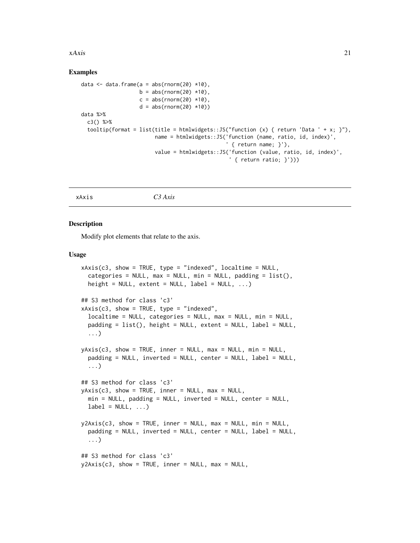#### <span id="page-20-0"></span> $xAxis$  21

#### Examples

```
data \leq data.frame(a = abs(rnorm(20) *10),
                  b = abs(rnorm(20) *10),
                   c = abs(rnorm(20) *10),
                   d = abs(rnorm(20) *10)data %>%
 c3() %>%
 tooltip(format = list(title = htmlwidgets::JS("function (x) { return 'Data ' + x; }"),
                        name = htmlwidgets::JS('function (name, ratio, id, index)',
                                                ' { return name; }'),
                        value = htmlwidgets::JS('function (value, ratio, id, index)',
                                                 ' { return ratio; }')))
```
<span id="page-20-1"></span>xAxis *C3 Axis*

#### Description

Modify plot elements that relate to the axis.

#### Usage

```
xAxis(c3, show = TRUE, type = "indexed", localtime = NULL,
  categories = NULL, max = NULL, min = NULL, padding = list(),
  height = NULL, extent = NULL, label = NULL, \ldots)
## S3 method for class 'c3'
xAxis(c3, show = TRUE, type = "indexed",localtime = NULL, categories = NULL, max = NULL, min = NULL,
 padding = list(), height = NULL, extent = NULL, label = NULL,
  ...)
yAxis(c3, show = TRUE, inner = NULL, max = NULL, min = NULL,
  padding = NULL, inverted = NULL, center = NULL, label = NULL,
  ...)
## S3 method for class 'c3'
yAxis(c3, show = TRUE, inner = NULL, max = NULL,min = NULL, padding = NULL, inverted = NULL, center = NULL,
  label = NULL, ...y2Axis(c3, show = TRUE, inner = NULL, max = NULL, min = NULL,padding = NULL, inverted = NULL, center = NULL, label = NULL,
  ...)
## S3 method for class 'c3'
y2Axis(c3, show = TRUE, inner = NULL, max = NULL,
```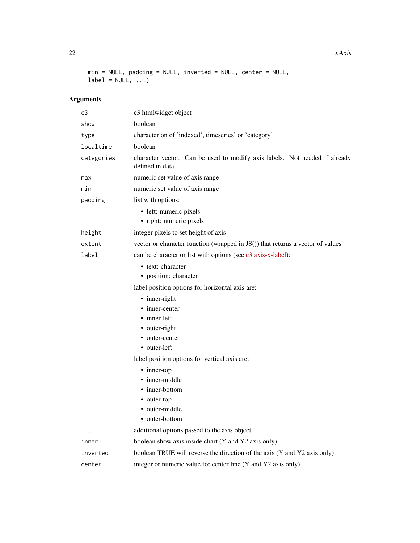min = NULL, padding = NULL, inverted = NULL, center = NULL,  $label = NULL, ...$ 

# Arguments

| c3         | c3 htmlwidget object                                                                          |  |
|------------|-----------------------------------------------------------------------------------------------|--|
| show       | boolean                                                                                       |  |
| type       | character on of 'indexed', timeseries' or 'category'                                          |  |
| localtime  | boolean                                                                                       |  |
| categories | character vector. Can be used to modify axis labels. Not needed if already<br>defined in data |  |
| max        | numeric set value of axis range                                                               |  |
| min        | numeric set value of axis range                                                               |  |
| padding    | list with options:                                                                            |  |
|            | • left: numeric pixels<br>• right: numeric pixels                                             |  |
| height     | integer pixels to set height of axis                                                          |  |
| extent     | vector or character function (wrapped in JS()) that returns a vector of values                |  |
| label      | can be character or list with options (see c3 axis-x-label):                                  |  |
|            | • text: character                                                                             |  |
|            | • position: character                                                                         |  |
|            | label position options for horizontal axis are:                                               |  |
|            | • inner-right                                                                                 |  |
|            | • inner-center                                                                                |  |
|            | • inner-left                                                                                  |  |
|            | • outer-right                                                                                 |  |
|            | • outer-center                                                                                |  |
|            | • outer-left                                                                                  |  |
|            | label position options for vertical axis are:                                                 |  |
|            | • inner-top                                                                                   |  |
|            | • inner-middle                                                                                |  |
|            | • inner-bottom                                                                                |  |
|            | • outer-top<br>• outer-middle                                                                 |  |
|            | • outer-bottom                                                                                |  |
|            | additional options passed to the axis object                                                  |  |
| inner      | boolean show axis inside chart (Y and Y2 axis only)                                           |  |
| inverted   | boolean TRUE will reverse the direction of the axis (Y and Y2 axis only)                      |  |
| center     | integer or numeric value for center line (Y and Y2 axis only)                                 |  |
|            |                                                                                               |  |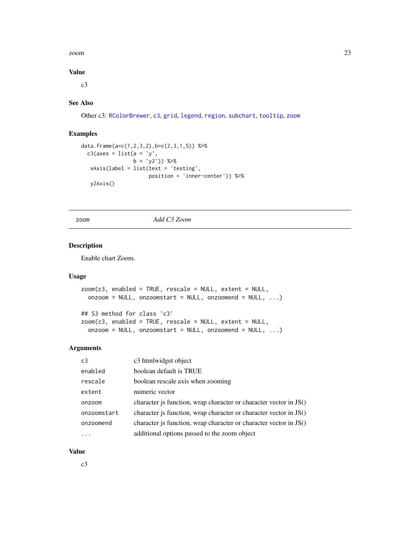#### <span id="page-22-0"></span>zoom 23

#### Value

c3

# See Also

Other c3: [RColorBrewer](#page-16-1), [c3](#page-1-1), [grid](#page-13-1), [legend](#page-14-1), [region](#page-16-2), [subchart](#page-17-1), [tooltip](#page-19-1), [zoom](#page-22-1)

#### Examples

```
data.frame(a=c(1,2,3,2),b=c(2,3,1,5)) %>%
  c3(axes = list(a = 'y',b = 'y2')) %>%
   xAxis(label = list(text = 'testing',
                      position = 'inner-center')) %>%
  y2Axis()
```
<span id="page-22-1"></span>zoom *Add C3 Zoom*

#### Description

Enable chart Zoom.

#### Usage

```
zoom(c3, enabled = TRUE, rescale = NULL, extent = NULL,onzoom = NULL, onzoomstart = NULL, onzoomend = NULL, ...)
## S3 method for class 'c3'
zoom(c3, enabled = TRUE, rescale = NULL, extent = NULL,
 onzoom = NULL, onzoomstart = NULL, onzoomend = NULL, ...)
```
#### Arguments

| c3          | c3 htmlwidget object                                              |
|-------------|-------------------------------------------------------------------|
| enabled     | boolean default is TRUE                                           |
| rescale     | boolean rescale axis when zooming                                 |
| extent      | numeric vector                                                    |
| onzoom      | character is function, wrap character or character vector in JS() |
| onzoomstart | character is function, wrap character or character vector in JS() |
| onzoomend   | character is function, wrap character or character vector in JS() |
|             | additional options passed to the zoom object                      |

#### Value

c3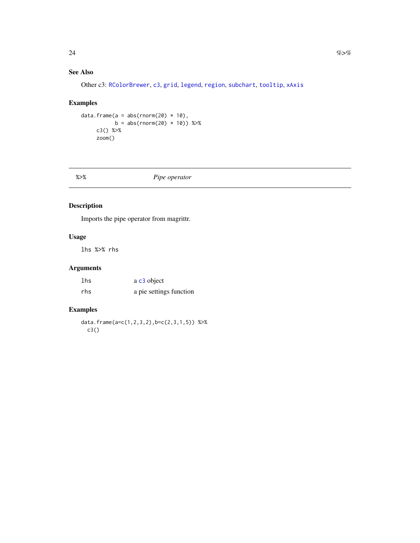# <span id="page-23-0"></span>See Also

Other c3: [RColorBrewer](#page-16-1), [c3](#page-1-1), [grid](#page-13-1), [legend](#page-14-1), [region](#page-16-2), [subchart](#page-17-1), [tooltip](#page-19-1), [xAxis](#page-20-1)

#### Examples

```
data.frame(a = abs(rnorm(20) \star 10),
         b = abs(rnorm(20) * 10) %>%
    c3() %>%
    zoom()
```
# %>% *Pipe operator*

# Description

Imports the pipe operator from magrittr.

#### Usage

lhs %>% rhs

# Arguments

| lhs | a c <sub>3</sub> object |
|-----|-------------------------|
| rhs | a pie settings function |

# Examples

data.frame(a=c(1,2,3,2),b=c(2,3,1,5)) %>% c3()